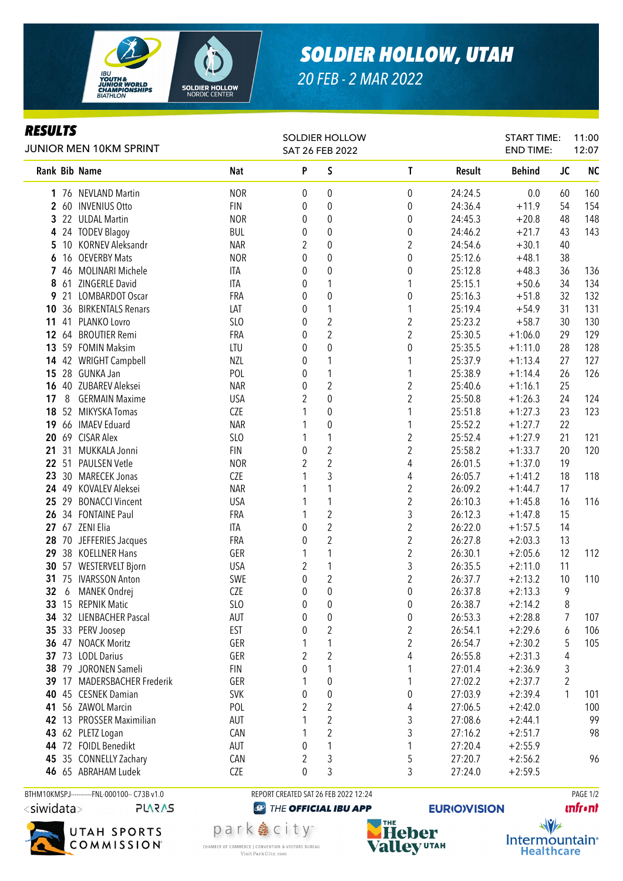

*RESULTS*

## *SOLDIER HOLLOW, UTAH*

*20 FEB - 2 MAR 2022*

| <i><b>RESULTS</b></i><br>JUNIOR MEN 10KM SPRINT |       |                             |                 | <b>SOLDIER HOLLOW</b><br>SAT 26 FEB 2022 |                  |                         |         | <b>START TIME:</b><br><b>END TIME:</b> |    | 11:00<br>12:07 |  |
|-------------------------------------------------|-------|-----------------------------|-----------------|------------------------------------------|------------------|-------------------------|---------|----------------------------------------|----|----------------|--|
|                                                 |       | Rank Bib Name               | Nat             | P                                        | $\mathsf S$      | T                       | Result  | <b>Behind</b>                          | JC | <b>NC</b>      |  |
|                                                 |       | 1 76 NEVLAND Martin         | <b>NOR</b>      | 0                                        | $\boldsymbol{0}$ | 0                       | 24:24.5 | 0.0                                    | 60 | 160            |  |
|                                                 |       | 2 60 INVENIUS Otto          | <b>FIN</b>      | 0                                        | $\boldsymbol{0}$ | 0                       | 24:36.4 | $+11.9$                                | 54 | 154            |  |
| 3                                               |       | 22 ULDAL Martin             | <b>NOR</b>      | 0                                        | $\boldsymbol{0}$ | 0                       | 24:45.3 | $+20.8$                                | 48 | 148            |  |
| 4                                               |       | 24 TODEV Blagoy             | <b>BUL</b>      | 0                                        | $\boldsymbol{0}$ | 0                       | 24:46.2 | $+21.7$                                | 43 | 143            |  |
| 5                                               | 10    | <b>KORNEV Aleksandr</b>     | <b>NAR</b>      | 2                                        | $\boldsymbol{0}$ | $\boldsymbol{2}$        | 24:54.6 | $+30.1$                                | 40 |                |  |
| 6                                               |       | 16 OEVERBY Mats             | <b>NOR</b>      | 0                                        | $\pmb{0}$        | 0                       | 25:12.6 | $+48.1$                                | 38 |                |  |
| 7                                               |       | 46 MOLINARI Michele         | ITA             | 0                                        | $\pmb{0}$        | 0                       | 25:12.8 | $+48.3$                                | 36 | 136            |  |
| 8                                               | 61    | ZINGERLE David              | ITA             | 0                                        | 1                | 1                       | 25:15.1 | $+50.6$                                | 34 | 134            |  |
| 9                                               | 21    | <b>LOMBARDOT Oscar</b>      | FRA             | 0                                        | $\boldsymbol{0}$ | 0                       | 25:16.3 | $+51.8$                                | 32 | 132            |  |
| 10                                              |       | 36 BIRKENTALS Renars        | LAT             | 0                                        | $\mathbf{1}$     | 1                       | 25:19.4 | $+54.9$                                | 31 | 131            |  |
| 11                                              | 41    | PLANKO Lovro                | SL <sub>O</sub> | 0                                        | $\sqrt{2}$       | $\overline{c}$          | 25:23.2 | $+58.7$                                | 30 | 130            |  |
| 12                                              |       | 64 BROUTIER Remi            | FRA             | 0                                        | $\overline{c}$   | $\overline{c}$          | 25:30.5 | $+1:06.0$                              | 29 | 129            |  |
| 13                                              |       | 59 FOMIN Maksim             | LTU             | 0                                        | $\pmb{0}$        | 0                       | 25:35.5 | $+1:11.0$                              | 28 | 128            |  |
| 14                                              |       | 42 WRIGHT Campbell          | <b>NZL</b>      | 0                                        | 1                | 1                       | 25:37.9 | $+1:13.4$                              | 27 | 127            |  |
| 15                                              |       | 28 GUNKA Jan                | POL             | 0                                        | $\mathbf{1}$     | 1                       | 25:38.9 | $+1:14.4$                              | 26 | 126            |  |
| 16                                              |       | 40 ZUBAREV Aleksei          | <b>NAR</b>      | 0                                        | $\overline{2}$   | $\overline{2}$          | 25:40.6 | $+1:16.1$                              | 25 |                |  |
| 17                                              | 8     | <b>GERMAIN Maxime</b>       | <b>USA</b>      | 2                                        | $\mathbf 0$      | $\overline{2}$          | 25:50.8 | $+1:26.3$                              | 24 | 124            |  |
| 18                                              |       | 52 MIKYSKA Tomas            | <b>CZE</b>      |                                          | $\mathbf 0$      | 1                       | 25:51.8 | $+1:27.3$                              | 23 | 123            |  |
| 19                                              |       | 66 IMAEV Eduard             | <b>NAR</b>      |                                          | $\mathbf 0$      | 1                       | 25:52.2 | $+1:27.7$                              | 22 |                |  |
| 20                                              |       | 69 CISAR Alex               | SLO             |                                          | 1                | $\overline{2}$          | 25:52.4 | $+1:27.9$                              | 21 | 121            |  |
| 21                                              | 31    | MUKKALA Jonni               | <b>FIN</b>      | $\mathbf{0}$                             | $\overline{2}$   | $\overline{2}$          | 25:58.2 | $+1:33.7$                              | 20 | 120            |  |
| 22                                              | 51    | <b>PAULSEN Vetle</b>        | <b>NOR</b>      | 2                                        | $\overline{c}$   | 4                       | 26:01.5 | $+1:37.0$                              | 19 |                |  |
| 23                                              |       | 30 MARECEK Jonas            | <b>CZE</b>      |                                          | 3                | 4                       | 26:05.7 | $+1:41.2$                              | 18 | 118            |  |
| 24                                              |       | 49 KOVALEV Aleksei          | <b>NAR</b>      |                                          | 1                | $\overline{2}$          | 26:09.2 | $+1:44.7$                              | 17 |                |  |
| 25                                              | 29    | <b>BONACCI Vincent</b>      | <b>USA</b>      |                                          | 1                | $\overline{2}$          | 26:10.3 | $+1:45.8$                              | 16 | 116            |  |
| 26                                              |       | 34 FONTAINE Paul            | FRA             | 1                                        | $\sqrt{2}$       | 3                       | 26:12.3 | $+1:47.8$                              | 15 |                |  |
| 27                                              |       | 67 ZENI Elia                | ITA             | 0                                        | $\overline{2}$   | $\overline{2}$          | 26:22.0 | $+1:57.5$                              | 14 |                |  |
| 28                                              |       | 70 JEFFERIES Jacques        | FRA             | 0                                        | $\overline{2}$   | $\overline{2}$          | 26:27.8 | $+2:03.3$                              | 13 |                |  |
| 29                                              |       | 38 KOELLNER Hans            | GER             | 1                                        | 1                | $\overline{c}$          | 26:30.1 | $+2:05.6$                              | 12 | 112            |  |
| 30                                              |       | 57 WESTERVELT Bjorn         | <b>USA</b>      | 2                                        | $\mathbf{1}$     | 3                       | 26:35.5 | $+2:11.0$                              | 11 |                |  |
| 31                                              |       | 75 IVARSSON Anton           | SWE             | $\pmb{0}$                                | $\overline{2}$   | $\overline{2}$          | 26:37.7 | $+2:13.2$                              | 10 | 110            |  |
| 32                                              | 6     | MANEK Ondrej                | <b>CZE</b>      | $\mathbf 0$                              | $\mathbf 0$      | $\mathbf 0$             | 26:37.8 | $+2:13.3$                              | 9  |                |  |
| 33                                              |       | 15 REPNIK Matic             | SLO             | 0                                        | $\pmb{0}$        | 0                       | 26:38.7 | $+2:14.2$                              | 8  |                |  |
|                                                 |       | 34 32 LIENBACHER Pascal     | AUT             | 0                                        | $\pmb{0}$        | 0                       | 26:53.3 | $+2:28.8$                              | 7  | 107            |  |
| 35 <sub>5</sub>                                 |       | 33 PERV Joosep              | <b>EST</b>      | 0                                        | $\overline{2}$   | $\overline{\mathbf{c}}$ | 26:54.1 | $+2:29.6$                              | 6  | 106            |  |
|                                                 |       | 36 47 NOACK Moritz          | GER             | 1                                        | $\mathbf{1}$     | $\overline{2}$          | 26:54.7 | $+2:30.2$                              | 5  | 105            |  |
|                                                 |       | 37 73 LODL Darius           | GER             | 2                                        | $\overline{2}$   | 4                       | 26:55.8 | $+2:31.3$                              | 4  |                |  |
|                                                 | 38 79 | JORONEN Sameli              | <b>FIN</b>      | 0                                        | 1                | 1                       | 27:01.4 | $+2:36.9$                              | 3  |                |  |
|                                                 |       | 39 17 MADERSBACHER Frederik | GER             |                                          | 0                | 1                       | 27:02.2 | $+2:37.7$                              | 2  |                |  |
|                                                 |       | 40 45 CESNEK Damian         | <b>SVK</b>      | 0                                        | $\pmb{0}$        | 0                       | 27:03.9 | $+2:39.4$                              | 1  | 101            |  |
| 41                                              |       | 56 ZAWOL Marcin             | POL             | 2                                        | $\overline{c}$   | 4                       | 27:06.5 | $+2:42.0$                              |    | 100            |  |
| 42                                              |       | 13 PROSSER Maximilian       | AUT             |                                          | $\overline{2}$   | 3                       | 27:08.6 | $+2:44.1$                              |    | 99             |  |
|                                                 |       | 43 62 PLETZ Logan           | CAN             |                                          | 2                | 3                       | 27:16.2 | $+2:51.7$                              |    | 98             |  |
|                                                 |       | 44 72 FOIDL Benedikt        | AUT             | 0                                        | 1                | 1                       | 27:20.4 | $+2:55.9$                              |    |                |  |
| 45                                              |       | 35 CONNELLY Zachary         | CAN             | 2                                        | 3                | 5                       | 27:20.7 | $+2:56.2$                              |    | 96             |  |
|                                                 |       | 46 65 ABRAHAM Ludek         | CZE             | 0                                        | 3                | 3                       | 27:24.0 | $+2:59.5$                              |    |                |  |

<siwidata> **PLARAS** 



BTHM10KMSPJ----------FNL-000100-- C73B v1.0 REPORT CREATED SAT 26 FEB 2022 12:24 PAGE 1/2

**@** THE OFFICIAL IBU APP



**EURIO)VISION** 

**unfront** 

 $\sqrt{v}$ Intermountain<sup>®</sup> **Healthcare** 

park 急 city<sup>®</sup> CHAMBER OF COMMERCE | CONVENTION & VISITORS BUREAU Visit Park City.com